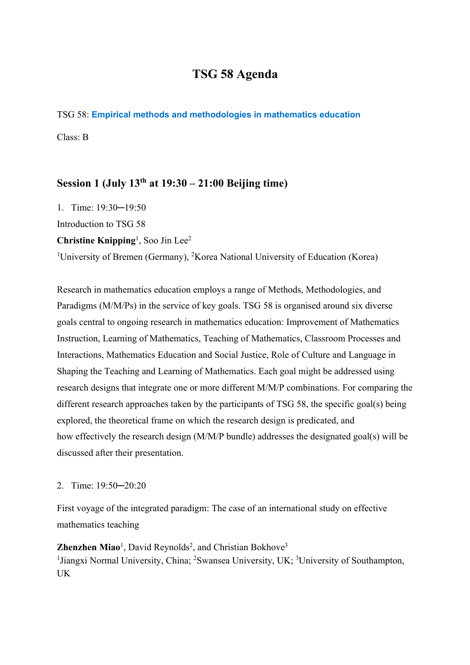# **TSG 58 Agenda**

#### TSG 58: **Empirical methods and methodologies in mathematics education**

Class: B

## **Session 1 (July 13th at 19:30 – 21:00 Beijing time)**

1. Time: 19:30─19:50 Introduction to TSG 58 Christine Knipping<sup>1</sup>, Soo Jin Lee<sup>2</sup> <sup>1</sup>University of Bremen (Germany), <sup>2</sup>Korea National University of Education (Korea)

Research in mathematics education employs a range of Methods, Methodologies, and Paradigms (M/M/Ps) in the service of key goals. TSG 58 is organised around six diverse goals central to ongoing research in mathematics education: Improvement of Mathematics Instruction, Learning of Mathematics, Teaching of Mathematics, Classroom Processes and Interactions, Mathematics Education and Social Justice, Role of Culture and Language in Shaping the Teaching and Learning of Mathematics. Each goal might be addressed using research designs that integrate one or more different M/M/P combinations. For comparing the different research approaches taken by the participants of TSG 58, the specific goal(s) being explored, the theoretical frame on which the research design is predicated, and how effectively the research design (M/M/P bundle) addresses the designated goal(s) will be discussed after their presentation.

### 2. Time: 19:50─20:20

First voyage of the integrated paradigm: The case of an international study on effective mathematics teaching

Zhenzhen Miao<sup>1</sup>, David Reynolds<sup>2</sup>, and Christian Bokhove<sup>3</sup> <sup>1</sup> Jiangxi Normal University, China; <sup>2</sup> Swansea University, UK; <sup>3</sup> University of Southampton, UK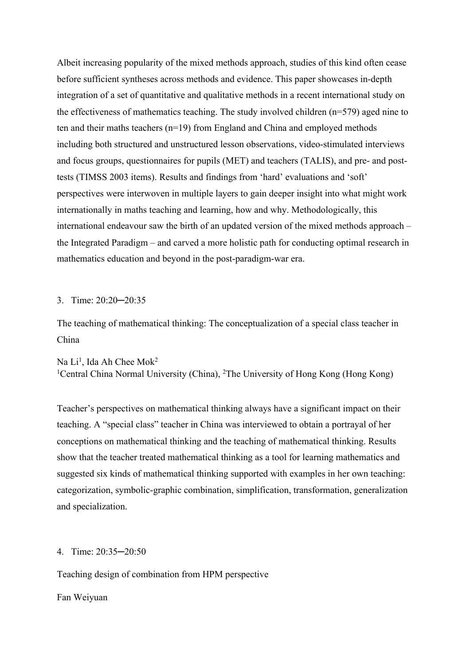Albeit increasing popularity of the mixed methods approach, studies of this kind often cease before sufficient syntheses across methods and evidence. This paper showcases in-depth integration of a set of quantitative and qualitative methods in a recent international study on the effectiveness of mathematics teaching. The study involved children (n=579) aged nine to ten and their maths teachers (n=19) from England and China and employed methods including both structured and unstructured lesson observations, video-stimulated interviews and focus groups, questionnaires for pupils (MET) and teachers (TALIS), and pre- and posttests (TIMSS 2003 items). Results and findings from 'hard' evaluations and 'soft' perspectives were interwoven in multiple layers to gain deeper insight into what might work internationally in maths teaching and learning, how and why. Methodologically, this international endeavour saw the birth of an updated version of the mixed methods approach – the Integrated Paradigm – and carved a more holistic path for conducting optimal research in mathematics education and beyond in the post-paradigm-war era.

#### 3. Time: 20:20─20:35

The teaching of mathematical thinking: The conceptualization of a special class teacher in China

Na Li $^1$ , Ida Ah Chee Mok $^2$ <sup>1</sup>Central China Normal University (China), <sup>2</sup>The University of Hong Kong (Hong Kong)

Teacher's perspectives on mathematical thinking always have a significant impact on their teaching. A "special class" teacher in China was interviewed to obtain a portrayal of her conceptions on mathematical thinking and the teaching of mathematical thinking. Results show that the teacher treated mathematical thinking as a tool for learning mathematics and suggested six kinds of mathematical thinking supported with examples in her own teaching: categorization, symbolic-graphic combination, simplification, transformation, generalization and specialization.

#### 4. Time: 20:35─20:50

Teaching design of combination from HPM perspective

Fan Weiyuan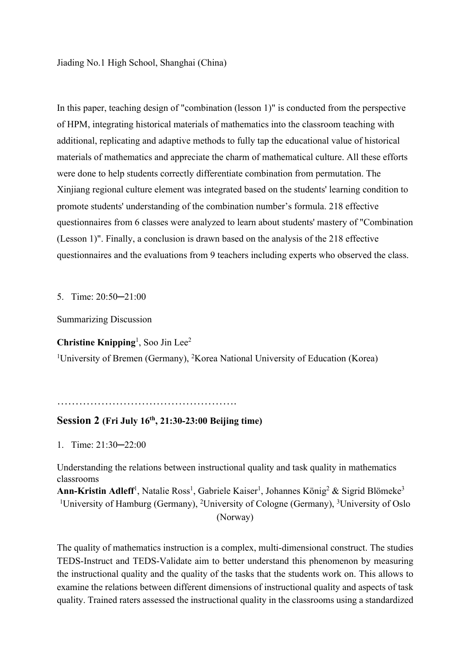Jiading No.1 High School, Shanghai (China)

In this paper, teaching design of "combination (lesson 1)" is conducted from the perspective of HPM, integrating historical materials of mathematics into the classroom teaching with additional, replicating and adaptive methods to fully tap the educational value of historical materials of mathematics and appreciate the charm of mathematical culture. All these efforts were done to help students correctly differentiate combination from permutation. The Xinjiang regional culture element was integrated based on the students' learning condition to promote students' understanding of the combination number's formula. 218 effective questionnaires from 6 classes were analyzed to learn about students' mastery of "Combination (Lesson 1)". Finally, a conclusion is drawn based on the analysis of the 218 effective questionnaires and the evaluations from 9 teachers including experts who observed the class.

5. Time: 20:50─21:00

Summarizing Discussion

**Christine Knipping**<sup>1</sup> , Soo Jin Lee2

<sup>1</sup>University of Bremen (Germany), <sup>2</sup>Korea National University of Education (Korea)

 $\mathbb{R}^n$  . The contract of the contract of the contract of the contract of the contract of the contract of the contract of the contract of the contract of the contract of the contract of the contract of the contract of

### **Session 2 (Fri July 16th, 21:30-23:00 Beijing time)**

1. Time: 21:30─22:00

Understanding the relations between instructional quality and task quality in mathematics classrooms

Ann-Kristin Adleff<sup>1</sup>, Natalie Ross<sup>1</sup>, Gabriele Kaiser<sup>1</sup>, Johannes König<sup>2</sup> & Sigrid Blömeke<sup>3</sup> <sup>1</sup>University of Hamburg (Germany), <sup>2</sup>University of Cologne (Germany), <sup>3</sup>University of Oslo (Norway)

The quality of mathematics instruction is a complex, multi-dimensional construct. The studies TEDS-Instruct and TEDS-Validate aim to better understand this phenomenon by measuring the instructional quality and the quality of the tasks that the students work on. This allows to examine the relations between different dimensions of instructional quality and aspects of task quality. Trained raters assessed the instructional quality in the classrooms using a standardized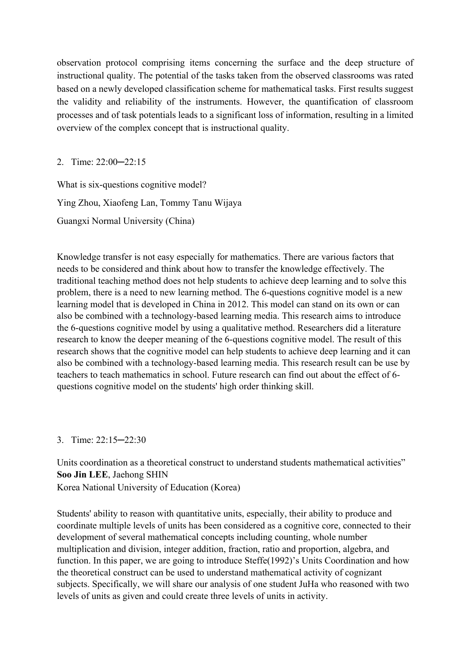observation protocol comprising items concerning the surface and the deep structure of instructional quality. The potential of the tasks taken from the observed classrooms was rated based on a newly developed classification scheme for mathematical tasks. First results suggest the validity and reliability of the instruments. However, the quantification of classroom processes and of task potentials leads to a significant loss of information, resulting in a limited overview of the complex concept that is instructional quality.

2. Time: 22:00—22:15

What is six-questions cognitive model? Ying Zhou, Xiaofeng Lan, Tommy Tanu Wijaya Guangxi Normal University (China)

Knowledge transfer is not easy especially for mathematics. There are various factors that needs to be considered and think about how to transfer the knowledge effectively. The traditional teaching method does not help students to achieve deep learning and to solve this problem, there is a need to new learning method. The 6-questions cognitive model is a new learning model that is developed in China in 2012. This model can stand on its own or can also be combined with a technology-based learning media. This research aims to introduce the 6-questions cognitive model by using a qualitative method. Researchers did a literature research to know the deeper meaning of the 6-questions cognitive model. The result of this research shows that the cognitive model can help students to achieve deep learning and it can also be combined with a technology-based learning media. This research result can be use by teachers to teach mathematics in school. Future research can find out about the effect of 6 questions cognitive model on the students' high order thinking skill.

### 3. Time: 22:15─22:30

Units coordination as a theoretical construct to understand students mathematical activities" **Soo Jin LEE**, Jaehong SHIN Korea National University of Education (Korea)

Students' ability to reason with quantitative units, especially, their ability to produce and coordinate multiple levels of units has been considered as a cognitive core, connected to their development of several mathematical concepts including counting, whole number multiplication and division, integer addition, fraction, ratio and proportion, algebra, and function. In this paper, we are going to introduce Steffe(1992)'s Units Coordination and how the theoretical construct can be used to understand mathematical activity of cognizant subjects. Specifically, we will share our analysis of one student JuHa who reasoned with two levels of units as given and could create three levels of units in activity.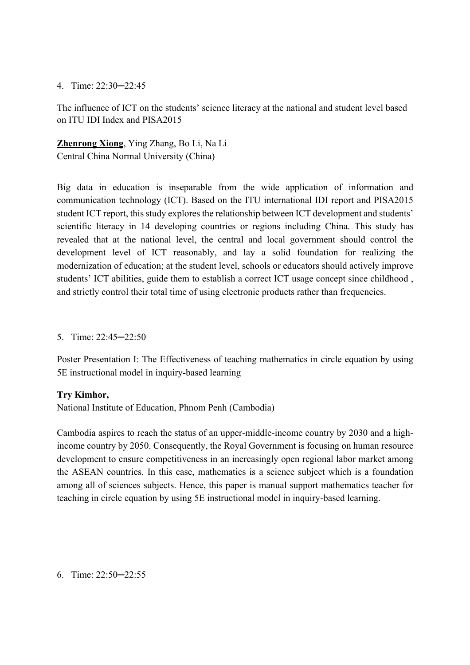#### 4. Time: 22:30─22:45

The influence of ICT on the students' science literacy at the national and student level based on ITU IDI Index and PISA2015

**Zhenrong Xiong**, Ying Zhang, Bo Li, Na Li Central China Normal University (China)

Big data in education is inseparable from the wide application of information and communication technology (ICT). Based on the ITU international IDI report and PISA2015 student ICT report, this study explores the relationship between ICT development and students' scientific literacy in 14 developing countries or regions including China. This study has revealed that at the national level, the central and local government should control the development level of ICT reasonably, and lay a solid foundation for realizing the modernization of education; at the student level, schools or educators should actively improve students' ICT abilities, guide them to establish a correct ICT usage concept since childhood , and strictly control their total time of using electronic products rather than frequencies.

5. Time: 22:45─22:50

Poster Presentation I: The Effectiveness of teaching mathematics in circle equation by using 5E instructional model in inquiry-based learning

### **Try Kimhor,**

National Institute of Education, Phnom Penh (Cambodia)

Cambodia aspires to reach the status of an upper-middle-income country by 2030 and a highincome country by 2050. Consequently, the Royal Government is focusing on human resource development to ensure competitiveness in an increasingly open regional labor market among the ASEAN countries. In this case, mathematics is a science subject which is a foundation among all of sciences subjects. Hence, this paper is manual support mathematics teacher for teaching in circle equation by using 5E instructional model in inquiry-based learning.

6. Time: 22:50─22:55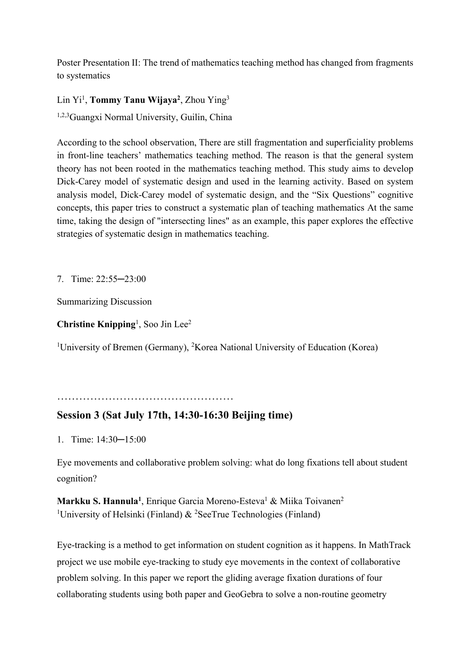Poster Presentation II: The trend of mathematics teaching method has changed from fragments to systematics

Lin Yi<sup>1</sup>, **Tommy Tanu Wijaya<sup>2</sup>**, Zhou Ying<sup>3</sup>

1,2,3Guangxi Normal University, Guilin, China

According to the school observation, There are still fragmentation and superficiality problems in front-line teachers' mathematics teaching method. The reason is that the general system theory has not been rooted in the mathematics teaching method. This study aims to develop Dick-Carey model of systematic design and used in the learning activity. Based on system analysis model, Dick-Carey model of systematic design, and the "Six Questions" cognitive concepts, this paper tries to construct a systematic plan of teaching mathematics At the same time, taking the design of "intersecting lines" as an example, this paper explores the effective strategies of systematic design in mathematics teaching.

7. Time: 22:55─23:00

Summarizing Discussion

Christine Knipping<sup>1</sup>, Soo Jin Lee<sup>2</sup>

<sup>1</sup>University of Bremen (Germany), <sup>2</sup>Korea National University of Education (Korea)

…………………………………………

## **Session 3 (Sat July 17th, 14:30-16:30 Beijing time)**

1. Time: 14:30─15:00

Eye movements and collaborative problem solving: what do long fixations tell about student cognition?

**Markku S. Hannula<sup>1</sup>, Enrique Garcia Moreno-Esteva<sup>1</sup> & Miika Toivanen<sup>2</sup>** <sup>1</sup>University of Helsinki (Finland) & <sup>2</sup>SeeTrue Technologies (Finland)

Eye-tracking is a method to get information on student cognition as it happens. In MathTrack project we use mobile eye-tracking to study eye movements in the context of collaborative problem solving. In this paper we report the gliding average fixation durations of four collaborating students using both paper and GeoGebra to solve a non-routine geometry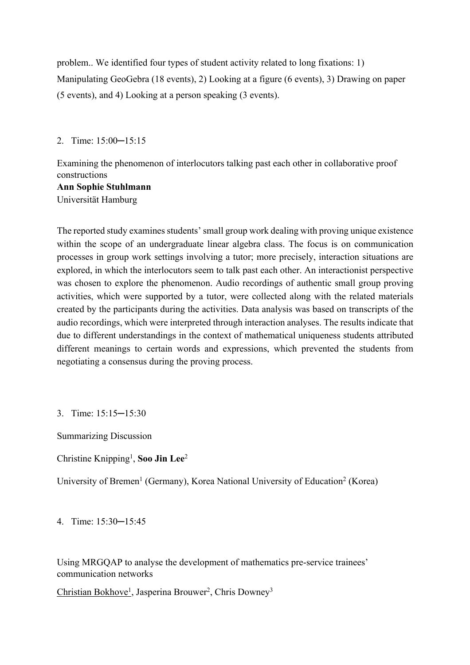problem.. We identified four types of student activity related to long fixations: 1) Manipulating GeoGebra (18 events), 2) Looking at a figure (6 events), 3) Drawing on paper (5 events), and 4) Looking at a person speaking (3 events).

2. Time: 15:00─15:15

Examining the phenomenon of interlocutors talking past each other in collaborative proof constructions **Ann Sophie Stuhlmann**

Universität Hamburg

The reported study examines students' small group work dealing with proving unique existence within the scope of an undergraduate linear algebra class. The focus is on communication processes in group work settings involving a tutor; more precisely, interaction situations are explored, in which the interlocutors seem to talk past each other. An interactionist perspective was chosen to explore the phenomenon. Audio recordings of authentic small group proving activities, which were supported by a tutor, were collected along with the related materials created by the participants during the activities. Data analysis was based on transcripts of the audio recordings, which were interpreted through interaction analyses. The results indicate that due to different understandings in the context of mathematical uniqueness students attributed different meanings to certain words and expressions, which prevented the students from negotiating a consensus during the proving process.

3. Time: 15:15─15:30

Summarizing Discussion

Christine Knipping<sup>1</sup>, Soo Jin Lee<sup>2</sup>

University of Bremen<sup>1</sup> (Germany), Korea National University of Education<sup>2</sup> (Korea)

4. Time: 15:30─15:45

Using MRGQAP to analyse the development of mathematics pre-service trainees' communication networks

Christian Bokhove<sup>1</sup>, Jasperina Brouwer<sup>2</sup>, Chris Downey<sup>3</sup>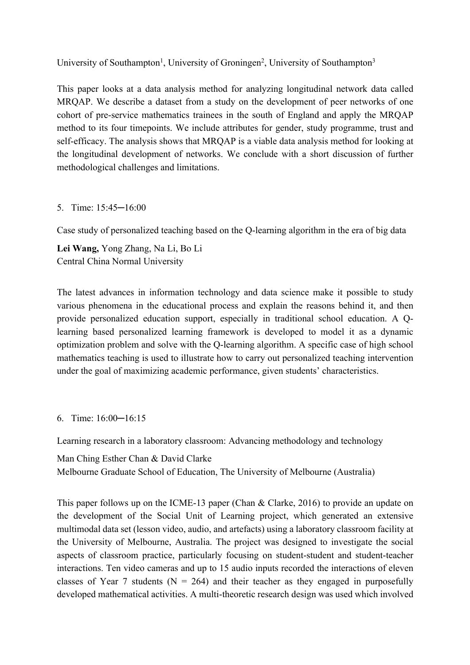University of Southampton<sup>1</sup>, University of Groningen<sup>2</sup>, University of Southampton<sup>3</sup>

This paper looks at a data analysis method for analyzing longitudinal network data called MRQAP. We describe a dataset from a study on the development of peer networks of one cohort of pre-service mathematics trainees in the south of England and apply the MRQAP method to its four timepoints. We include attributes for gender, study programme, trust and self-efficacy. The analysis shows that MRQAP is a viable data analysis method for looking at the longitudinal development of networks. We conclude with a short discussion of further methodological challenges and limitations.

### 5. Time: 15:45─16:00

Case study of personalized teaching based on the Q-learning algorithm in the era of big data

**Lei Wang,** Yong Zhang, Na Li, Bo Li Central China Normal University

The latest advances in information technology and data science make it possible to study various phenomena in the educational process and explain the reasons behind it, and then provide personalized education support, especially in traditional school education. A Qlearning based personalized learning framework is developed to model it as a dynamic optimization problem and solve with the Q-learning algorithm. A specific case of high school mathematics teaching is used to illustrate how to carry out personalized teaching intervention under the goal of maximizing academic performance, given students' characteristics.

### 6. Time: 16:00─16:15

Learning research in a laboratory classroom: Advancing methodology and technology

Man Ching Esther Chan & David Clarke Melbourne Graduate School of Education, The University of Melbourne (Australia)

This paper follows up on the ICME-13 paper (Chan & Clarke, 2016) to provide an update on the development of the Social Unit of Learning project, which generated an extensive multimodal data set (lesson video, audio, and artefacts) using a laboratory classroom facility at the University of Melbourne, Australia. The project was designed to investigate the social aspects of classroom practice, particularly focusing on student-student and student-teacher interactions. Ten video cameras and up to 15 audio inputs recorded the interactions of eleven classes of Year 7 students ( $N = 264$ ) and their teacher as they engaged in purposefully developed mathematical activities. A multi-theoretic research design was used which involved